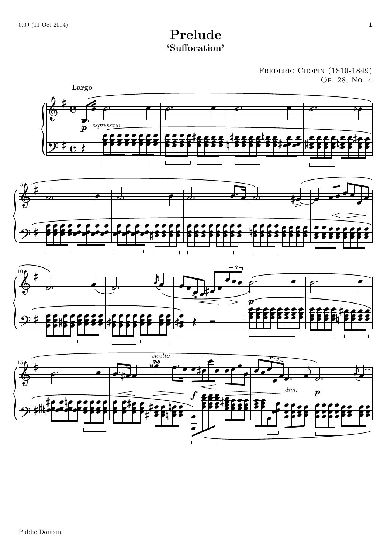## Prelude 'Suffocation'

FREDERIC CHOPIN (1810-1849)<br>Op. 28, No. 4